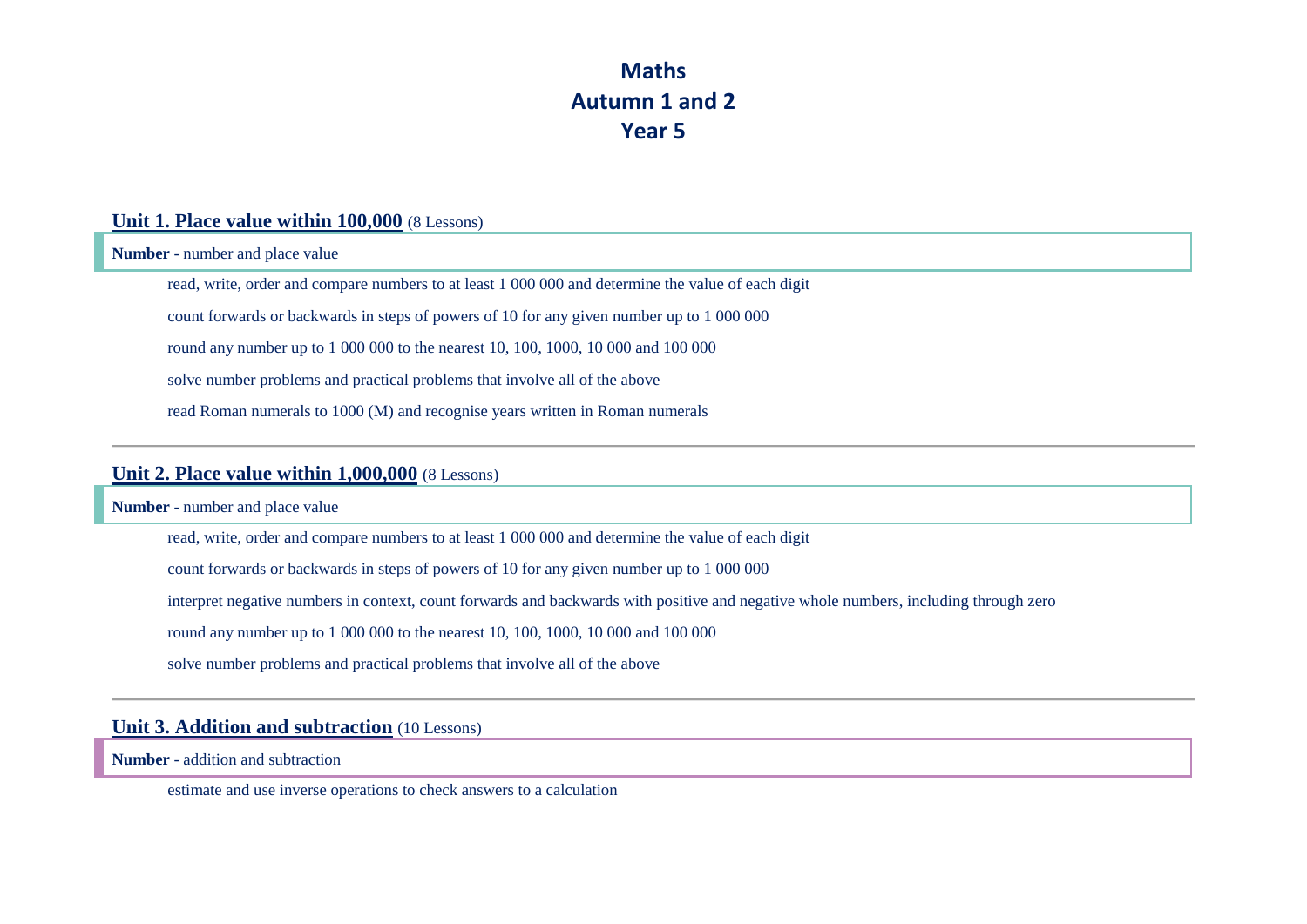## **Maths Autumn 1 and 2 Year 5**

### **Unit 1. Place value within 100,000** (8 Lessons)

**Number** - number and place value

read, write, order and compare numbers to at least 1 000 000 and determine the value of each digit

count forwards or backwards in steps of powers of 10 for any given number up to 1 000 000

round any number up to 1 000 000 to the nearest 10, 100, 1000, 10 000 and 100 000

solve number problems and practical problems that involve all of the above

read Roman numerals to 1000 (M) and recognise years written in Roman numerals

### **Unit 2. Place value within 1,000,000** (8 Lessons)

**Number** - number and place value

read, write, order and compare numbers to at least 1 000 000 and determine the value of each digit

count forwards or backwards in steps of powers of 10 for any given number up to 1 000 000

interpret negative numbers in context, count forwards and backwards with positive and negative whole numbers, including through zero

round any number up to 1 000 000 to the nearest 10, 100, 1000, 10 000 and 100 000

solve number problems and practical problems that involve all of the above

## **Unit 3. Addition and subtraction** (10 Lessons)

**Number** - addition and subtraction

estimate and use inverse operations to check answers to a calculation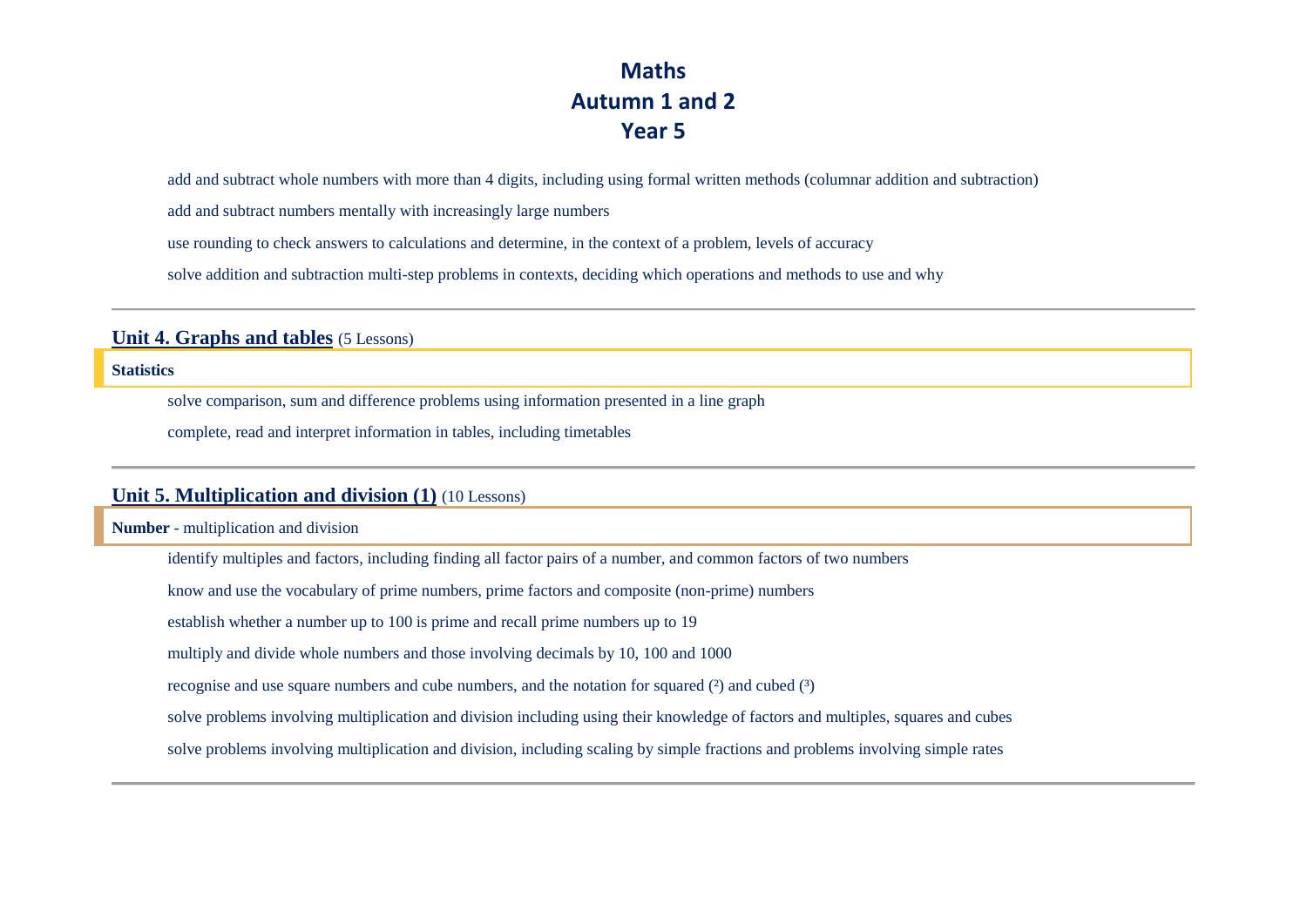## **Maths Autumn 1 and 2 Year 5**

add and subtract whole numbers with more than 4 digits, including using formal written methods (columnar addition and subtraction)

add and subtract numbers mentally with increasingly large numbers

use rounding to check answers to calculations and determine, in the context of a problem, levels of accuracy

solve addition and subtraction multi-step problems in contexts, deciding which operations and methods to use and why

### **Unit 4. Graphs and tables** (5 Lessons)

#### **Statistics**

solve comparison, sum and difference problems using information presented in a line graph

complete, read and interpret information in tables, including timetables

## **Unit 5. Multiplication and division (1)** (10 Lessons)

**Number** - multiplication and division

identify multiples and factors, including finding all factor pairs of a number, and common factors of two numbers

know and use the vocabulary of prime numbers, prime factors and composite (non-prime) numbers

establish whether a number up to 100 is prime and recall prime numbers up to 19

multiply and divide whole numbers and those involving decimals by 10, 100 and 1000

recognise and use square numbers and cube numbers, and the notation for squared  $(2)$  and cubed  $(3)$ 

solve problems involving multiplication and division including using their knowledge of factors and multiples, squares and cubes

solve problems involving multiplication and division, including scaling by simple fractions and problems involving simple rates